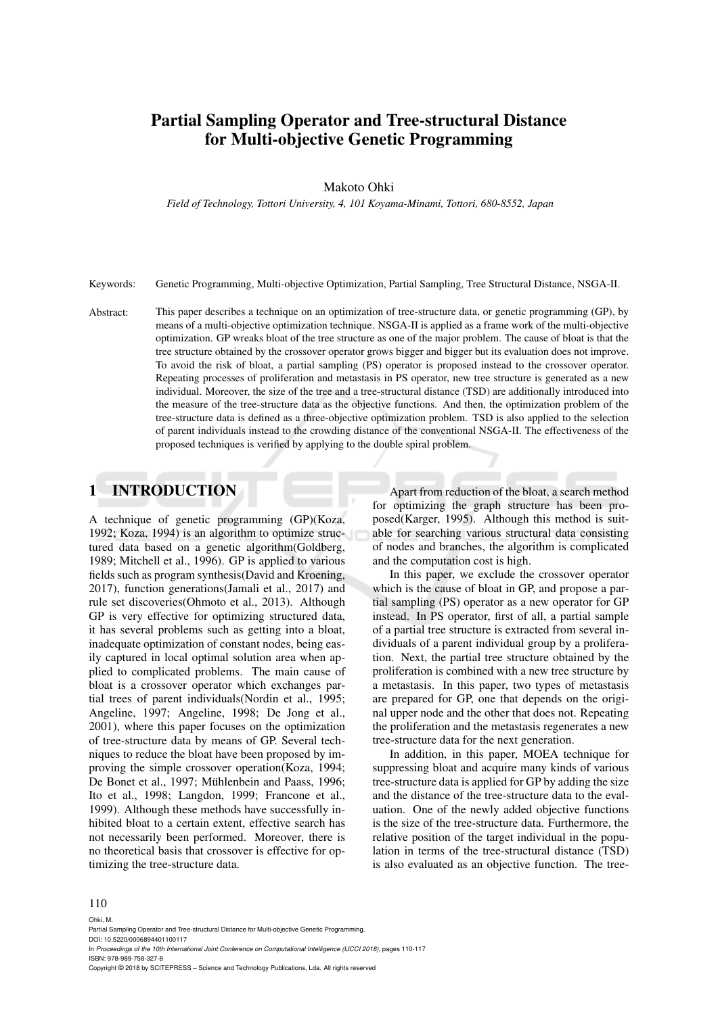# Partial Sampling Operator and Tree-structural Distance for Multi-objective Genetic Programming

#### Makoto Ohki

*Field of Technology, Tottori University, 4, 101 Koyama-Minami, Tottori, 680-8552, Japan*

Keywords: Genetic Programming, Multi-objective Optimization, Partial Sampling, Tree Structural Distance, NSGA-II.

Abstract: This paper describes a technique on an optimization of tree-structure data, or genetic programming (GP), by means of a multi-objective optimization technique. NSGA-II is applied as a frame work of the multi-objective optimization. GP wreaks bloat of the tree structure as one of the major problem. The cause of bloat is that the tree structure obtained by the crossover operator grows bigger and bigger but its evaluation does not improve. To avoid the risk of bloat, a partial sampling (PS) operator is proposed instead to the crossover operator. Repeating processes of proliferation and metastasis in PS operator, new tree structure is generated as a new individual. Moreover, the size of the tree and a tree-structural distance (TSD) are additionally introduced into the measure of the tree-structure data as the objective functions. And then, the optimization problem of the tree-structure data is defined as a three-objective optimization problem. TSD is also applied to the selection of parent individuals instead to the crowding distance of the conventional NSGA-II. The effectiveness of the proposed techniques is verified by applying to the double spiral problem.

## 1 INTRODUCTION

A technique of genetic programming (GP)(Koza, 1992; Koza, 1994) is an algorithm to optimize structured data based on a genetic algorithm(Goldberg, 1989; Mitchell et al., 1996). GP is applied to various fields such as program synthesis(David and Kroening, 2017), function generations(Jamali et al., 2017) and rule set discoveries(Ohmoto et al., 2013). Although GP is very effective for optimizing structured data, it has several problems such as getting into a bloat, inadequate optimization of constant nodes, being easily captured in local optimal solution area when applied to complicated problems. The main cause of bloat is a crossover operator which exchanges partial trees of parent individuals(Nordin et al., 1995; Angeline, 1997; Angeline, 1998; De Jong et al., 2001), where this paper focuses on the optimization of tree-structure data by means of GP. Several techniques to reduce the bloat have been proposed by improving the simple crossover operation(Koza, 1994; De Bonet et al., 1997; Mühlenbein and Paass, 1996; Ito et al., 1998; Langdon, 1999; Francone et al., 1999). Although these methods have successfully inhibited bloat to a certain extent, effective search has not necessarily been performed. Moreover, there is no theoretical basis that crossover is effective for optimizing the tree-structure data.

Apart from reduction of the bloat, a search method for optimizing the graph structure has been proposed(Karger, 1995). Although this method is suitable for searching various structural data consisting of nodes and branches, the algorithm is complicated and the computation cost is high.

In this paper, we exclude the crossover operator which is the cause of bloat in GP, and propose a partial sampling (PS) operator as a new operator for GP instead. In PS operator, first of all, a partial sample of a partial tree structure is extracted from several individuals of a parent individual group by a proliferation. Next, the partial tree structure obtained by the proliferation is combined with a new tree structure by a metastasis. In this paper, two types of metastasis are prepared for GP, one that depends on the original upper node and the other that does not. Repeating the proliferation and the metastasis regenerates a new tree-structure data for the next generation.

In addition, in this paper, MOEA technique for suppressing bloat and acquire many kinds of various tree-structure data is applied for GP by adding the size and the distance of the tree-structure data to the evaluation. One of the newly added objective functions is the size of the tree-structure data. Furthermore, the relative position of the target individual in the population in terms of the tree-structural distance (TSD) is also evaluated as an objective function. The tree-

#### 110 Ohki, M.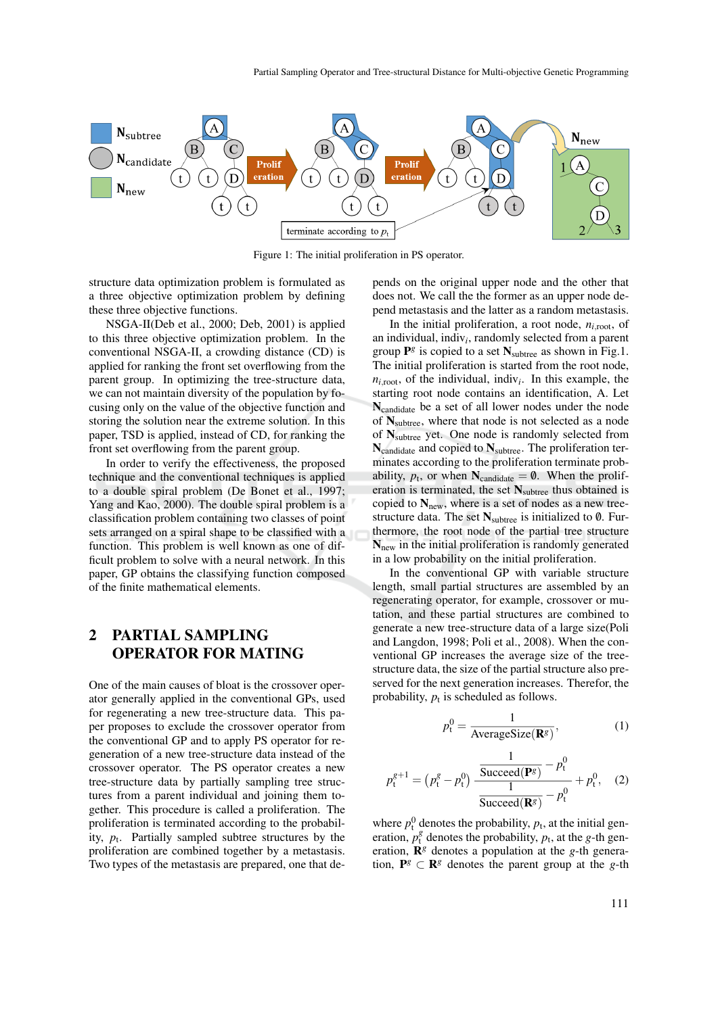

Figure 1: The initial proliferation in PS operator.

structure data optimization problem is formulated as a three objective optimization problem by defining these three objective functions.

NSGA-II(Deb et al., 2000; Deb, 2001) is applied to this three objective optimization problem. In the conventional NSGA-II, a crowding distance (CD) is applied for ranking the front set overflowing from the parent group. In optimizing the tree-structure data, we can not maintain diversity of the population by focusing only on the value of the objective function and storing the solution near the extreme solution. In this paper, TSD is applied, instead of CD, for ranking the front set overflowing from the parent group.

In order to verify the effectiveness, the proposed technique and the conventional techniques is applied to a double spiral problem (De Bonet et al., 1997; Yang and Kao, 2000). The double spiral problem is a classification problem containing two classes of point sets arranged on a spiral shape to be classified with a function. This problem is well known as one of difficult problem to solve with a neural network. In this paper, GP obtains the classifying function composed of the finite mathematical elements.

## 2 PARTIAL SAMPLING OPERATOR FOR MATING

One of the main causes of bloat is the crossover operator generally applied in the conventional GPs, used for regenerating a new tree-structure data. This paper proposes to exclude the crossover operator from the conventional GP and to apply PS operator for regeneration of a new tree-structure data instead of the crossover operator. The PS operator creates a new tree-structure data by partially sampling tree structures from a parent individual and joining them together. This procedure is called a proliferation. The proliferation is terminated according to the probability,  $p_t$ . Partially sampled subtree structures by the proliferation are combined together by a metastasis. Two types of the metastasis are prepared, one that de-

pends on the original upper node and the other that does not. We call the the former as an upper node depend metastasis and the latter as a random metastasis.

In the initial proliferation, a root node,  $n_{i,root}$ , of an individual, indiv*<sup>i</sup>* , randomly selected from a parent group  $\mathbf{P}^g$  is copied to a set  $\mathbf{N}_{\text{subtree}}$  as shown in Fig.1. The initial proliferation is started from the root node,  $n_{i,root}$ , of the individual, indiv<sub>i</sub>. In this example, the starting root node contains an identification, A. Let Ncandidate be a set of all lower nodes under the node of  $N_{subtree}$ , where that node is not selected as a node of Nsubtree yet. One node is randomly selected from  $N_{\text{candidate}}$  and copied to  $N_{\text{subtree}}$ . The proliferation terminates according to the proliferation terminate probability,  $p_t$ , or when  $N_{\text{candidate}} = \emptyset$ . When the proliferation is terminated, the set  $N_{subtree}$  thus obtained is copied to  $N_{\text{new}}$ , where is a set of nodes as a new treestructure data. The set  $N_{subtree}$  is initialized to 0. Furthermore, the root node of the partial tree structure Nnew in the initial proliferation is randomly generated in a low probability on the initial proliferation.

In the conventional GP with variable structure length, small partial structures are assembled by an regenerating operator, for example, crossover or mutation, and these partial structures are combined to generate a new tree-structure data of a large size(Poli and Langdon, 1998; Poli et al., 2008). When the conventional GP increases the average size of the treestructure data, the size of the partial structure also preserved for the next generation increases. Therefor, the probability,  $p_t$  is scheduled as follows.

$$
p_t^0 = \frac{1}{\text{AverageSize}(\mathbf{R}^g)},\tag{1}
$$

$$
p_{t}^{g+1} = (p_{t}^{g} - p_{t}^{0}) \frac{\frac{1}{\text{Succeed}(\mathbf{P}^{g})} - p_{t}^{0}}{\frac{1}{\text{Succeed}(\mathbf{R}^{g})} - p_{t}^{0}} + p_{t}^{0}, \quad (2)
$$

where  $p_t^0$  denotes the probability,  $p_t$ , at the initial generation,  $p_t^g$  denotes the probability,  $p_t$ , at the *g*-th generation,  $\mathbf{R}^{g}$  denotes a population at the *g*-th generation,  $P^g \subset \mathbb{R}^g$  denotes the parent group at the *g*-th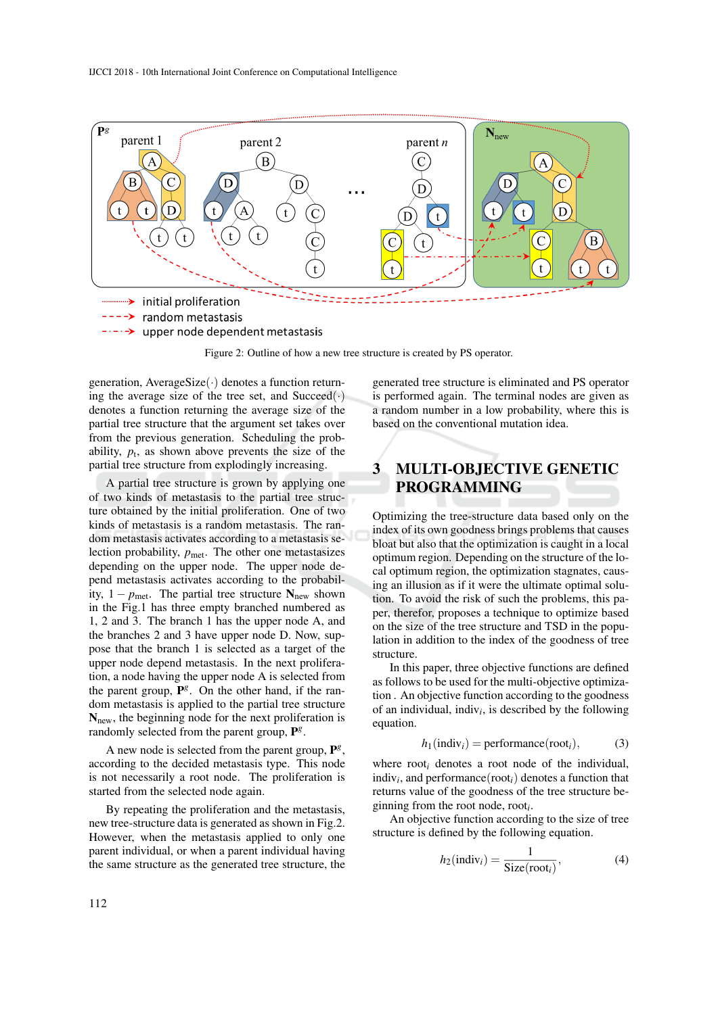

Figure 2: Outline of how a new tree structure is created by PS operator.

generation, AverageSize $(\cdot)$  denotes a function returning the average size of the tree set, and  $Succeed(\cdot)$ denotes a function returning the average size of the partial tree structure that the argument set takes over from the previous generation. Scheduling the probability,  $p_t$ , as shown above prevents the size of the partial tree structure from explodingly increasing.

A partial tree structure is grown by applying one of two kinds of metastasis to the partial tree structure obtained by the initial proliferation. One of two kinds of metastasis is a random metastasis. The random metastasis activates according to a metastasis selection probability,  $p_{\text{met}}$ . The other one metastasizes depending on the upper node. The upper node depend metastasis activates according to the probability,  $1 - p_{\text{met}}$ . The partial tree structure  $N_{\text{new}}$  shown in the Fig.1 has three empty branched numbered as 1, 2 and 3. The branch 1 has the upper node A, and the branches 2 and 3 have upper node D. Now, suppose that the branch 1 is selected as a target of the upper node depend metastasis. In the next proliferation, a node having the upper node A is selected from the parent group,  $\mathbf{P}^{g}$ . On the other hand, if the random metastasis is applied to the partial tree structure  $N<sub>new</sub>$ , the beginning node for the next proliferation is randomly selected from the parent group, P<sup>g</sup>.

A new node is selected from the parent group,  $\mathbf{P}^{g}$ , according to the decided metastasis type. This node is not necessarily a root node. The proliferation is started from the selected node again.

By repeating the proliferation and the metastasis, new tree-structure data is generated as shown in Fig.2. However, when the metastasis applied to only one parent individual, or when a parent individual having the same structure as the generated tree structure, the

generated tree structure is eliminated and PS operator is performed again. The terminal nodes are given as a random number in a low probability, where this is based on the conventional mutation idea.

# 3 MULTI-OBJECTIVE GENETIC PROGRAMMING

Optimizing the tree-structure data based only on the index of its own goodness brings problems that causes bloat but also that the optimization is caught in a local optimum region. Depending on the structure of the local optimum region, the optimization stagnates, causing an illusion as if it were the ultimate optimal solution. To avoid the risk of such the problems, this paper, therefor, proposes a technique to optimize based on the size of the tree structure and TSD in the population in addition to the index of the goodness of tree structure.

In this paper, three objective functions are defined as follows to be used for the multi-objective optimization . An objective function according to the goodness of an individual, indiv<sub>i</sub>, is described by the following equation.

$$
h_1(\text{indiv}_i) = \text{performance}(\text{root}_i),\tag{3}
$$

where root*<sup>i</sup>* denotes a root node of the individual, indiv*<sup>i</sup>* , and performance(root*i*) denotes a function that returns value of the goodness of the tree structure beginning from the root node, root*<sup>i</sup>* .

An objective function according to the size of tree structure is defined by the following equation.

$$
h_2(\text{indiv}_i) = \frac{1}{\text{Size}(\text{root}_i)},\tag{4}
$$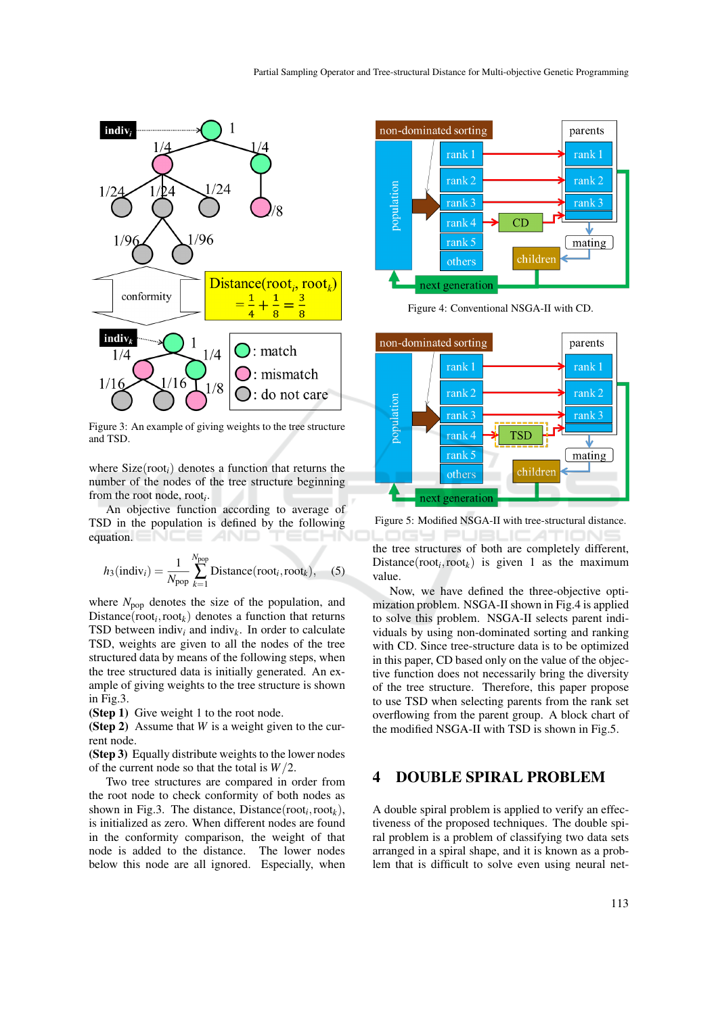

Figure 3: An example of giving weights to the tree structure and TSD.

where Size(root*i*) denotes a function that returns the number of the nodes of the tree structure beginning from the root node, root*<sup>i</sup>* .

An objective function according to average of TSD in the population is defined by the following equation. T E-

$$
h_3(\text{indiv}_i) = \frac{1}{N_{\text{pop}}} \sum_{k=1}^{N_{\text{pop}}} \text{Distance}(\text{root}_i, \text{root}_k), \quad (5)
$$

where  $N_{\text{pop}}$  denotes the size of the population, and  $Distance(root_i,root_k)$  denotes a function that returns TSD between indiv<sub>i</sub> and indiv<sub>k</sub>. In order to calculate TSD, weights are given to all the nodes of the tree structured data by means of the following steps, when the tree structured data is initially generated. An example of giving weights to the tree structure is shown in Fig.3.

(Step 1) Give weight 1 to the root node.

(Step 2) Assume that *W* is a weight given to the current node.

(Step 3) Equally distribute weights to the lower nodes of the current node so that the total is *W*/2.

Two tree structures are compared in order from the root node to check conformity of both nodes as shown in Fig.3. The distance, Distance( $root_i,root_k$ ), is initialized as zero. When different nodes are found in the conformity comparison, the weight of that node is added to the distance. The lower nodes below this node are all ignored. Especially, when



Figure 4: Conventional NSGA-II with CD.



Figure 5: Modified NSGA-II with tree-structural distance.

**DGY PUBLICATIONS** the tree structures of both are completely different,  $Distance(root_i,root_k)$  is given 1 as the maximum value.

Now, we have defined the three-objective optimization problem. NSGA-II shown in Fig.4 is applied to solve this problem. NSGA-II selects parent individuals by using non-dominated sorting and ranking with CD. Since tree-structure data is to be optimized in this paper, CD based only on the value of the objective function does not necessarily bring the diversity of the tree structure. Therefore, this paper propose to use TSD when selecting parents from the rank set overflowing from the parent group. A block chart of the modified NSGA-II with TSD is shown in Fig.5.

### 4 DOUBLE SPIRAL PROBLEM

A double spiral problem is applied to verify an effectiveness of the proposed techniques. The double spiral problem is a problem of classifying two data sets arranged in a spiral shape, and it is known as a problem that is difficult to solve even using neural net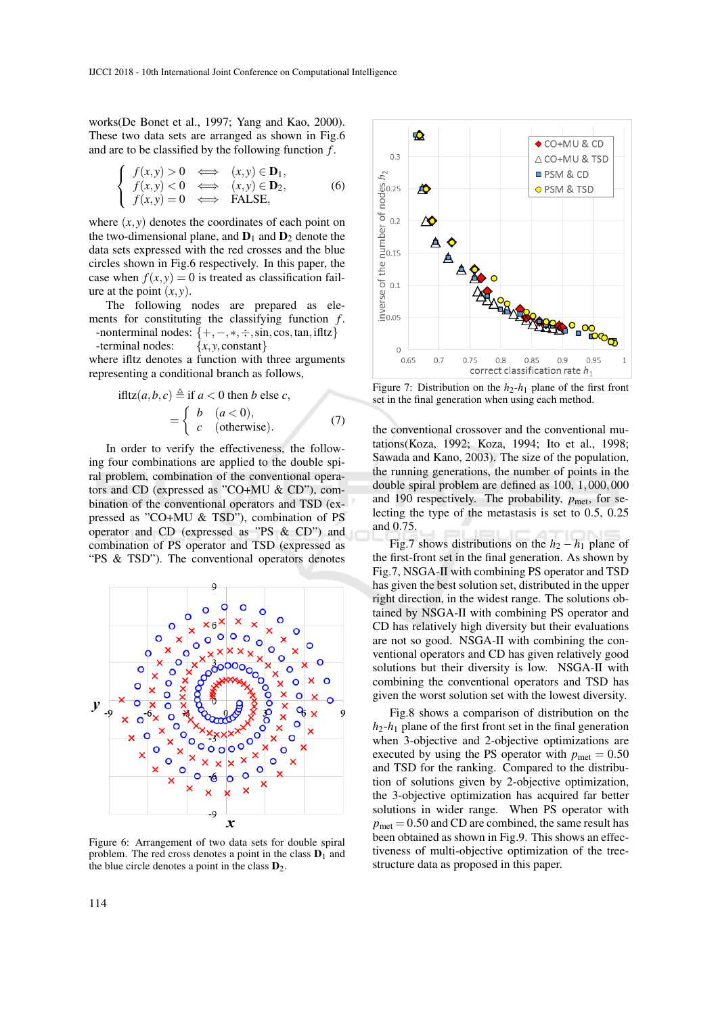works(De Bonet et al., 1997; Yang and Kao, 2000). These two data sets are arranged as shown in Fig.6 and are to be classified by the following function *f* .

$$
\begin{cases}\nf(x,y) > 0 & \Longleftrightarrow (x,y) \in \mathbf{D}_1, \\
f(x,y) < 0 & \Longleftrightarrow (x,y) \in \mathbf{D}_2, \\
f(x,y) = 0 & \Longleftrightarrow \text{FALSE,} \n\end{cases}
$$
\n(6)

where  $(x, y)$  denotes the coordinates of each point on the two-dimensional plane, and  $D_1$  and  $D_2$  denote the data sets expressed with the red crosses and the blue circles shown in Fig.6 respectively. In this paper, the case when  $f(x, y) = 0$  is treated as classification failure at the point  $(x, y)$ .

The following nodes are prepared as elements for constituting the classifying function *f* .

-nonterminal nodes:  $\{+, -, *, \div, \sin, \cos, \tan, \text{ifltz}\}\$ <br>-terminal nodes:  $\{x, y, \text{constant}\}\$ -terminal nodes:

where ifltz denotes a function with three arguments representing a conditional branch as follows,

$$
\text{ifltz}(a, b, c) \triangleq \text{if } a < 0 \text{ then } b \text{ else } c, \\
= \begin{cases} b & (a < 0), \\ c & \text{(otherwise).} \end{cases} \tag{7}
$$

In order to verify the effectiveness, the following four combinations are applied to the double spiral problem, combination of the conventional operators and CD (expressed as "CO+MU & CD"), combination of the conventional operators and TSD (expressed as "CO+MU & TSD"), combination of PS operator and CD (expressed as "PS & CD") and combination of PS operator and TSD (expressed as "PS & TSD"). The conventional operators denotes



Figure 6: Arrangement of two data sets for double spiral problem. The red cross denotes a point in the class  $D_1$  and the blue circle denotes a point in the class  $D_2$ .



Figure 7: Distribution on the  $h_2-h_1$  plane of the first front set in the final generation when using each method.

the conventional crossover and the conventional mutations(Koza, 1992; Koza, 1994; Ito et al., 1998; Sawada and Kano, 2003). The size of the population, the running generations, the number of points in the double spiral problem are defined as 100, 1,000,000 and 190 respectively. The probability,  $p_{\text{met}}$ , for selecting the type of the metastasis is set to 0.5, 0.25 and 0.75.

Fig.7 shows distributions on the  $h_2 - h_1$  plane of the first-front set in the final generation. As shown by Fig.7, NSGA-II with combining PS operator and TSD has given the best solution set, distributed in the upper right direction, in the widest range. The solutions obtained by NSGA-II with combining PS operator and CD has relatively high diversity but their evaluations are not so good. NSGA-II with combining the conventional operators and CD has given relatively good solutions but their diversity is low. NSGA-II with combining the conventional operators and TSD has given the worst solution set with the lowest diversity.

Fig.8 shows a comparison of distribution on the  $h_2$ - $h_1$  plane of the first front set in the final generation when 3-objective and 2-objective optimizations are executed by using the PS operator with  $p_{\text{met}} = 0.50$ and TSD for the ranking. Compared to the distribution of solutions given by 2-objective optimization, the 3-objective optimization has acquired far better solutions in wider range. When PS operator with  $p_{\text{met}} = 0.50$  and CD are combined, the same result has been obtained as shown in Fig.9. This shows an effectiveness of multi-objective optimization of the treestructure data as proposed in this paper.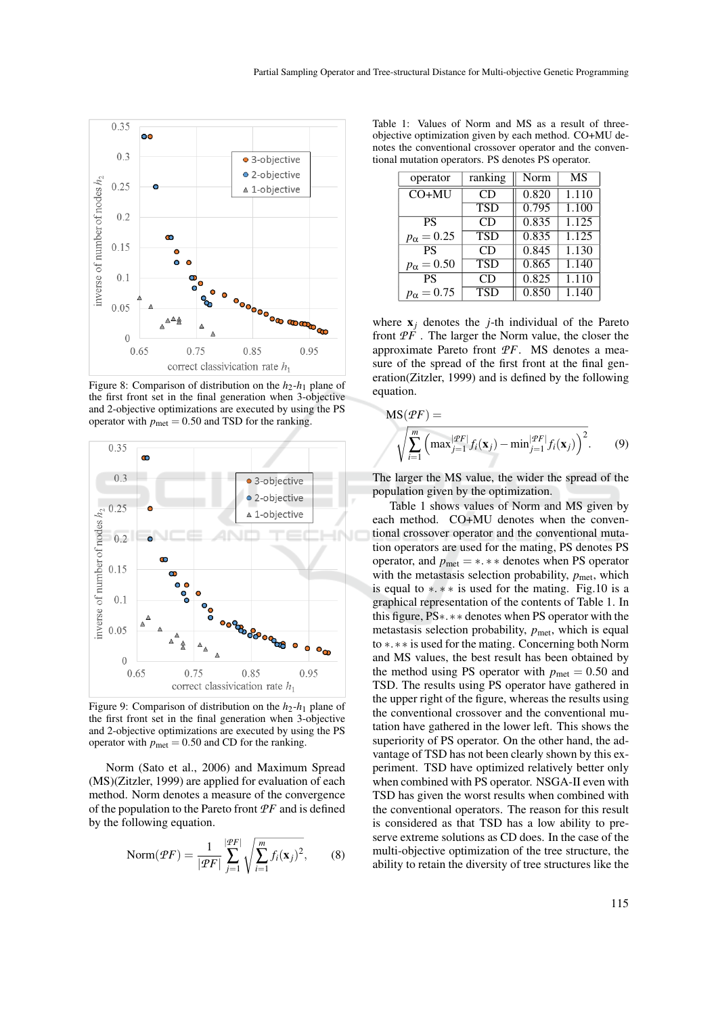

Figure 8: Comparison of distribution on the  $h_2$ - $h_1$  plane of the first front set in the final generation when 3-objective and 2-objective optimizations are executed by using the PS operator with  $p_{\text{met}} = 0.50$  and TSD for the ranking.



Figure 9: Comparison of distribution on the  $h_2$ - $h_1$  plane of the first front set in the final generation when 3-objective and 2-objective optimizations are executed by using the PS operator with  $p_{\text{met}} = 0.50$  and CD for the ranking.

Norm (Sato et al., 2006) and Maximum Spread (MS)(Zitzler, 1999) are applied for evaluation of each method. Norm denotes a measure of the convergence of the population to the Pareto front *PF* and is defined by the following equation.

$$
\text{Norm}(\mathcal{P}F) = \frac{1}{|\mathcal{P}F|} \sum_{j=1}^{|\mathcal{P}F|} \sqrt{\sum_{i=1}^{m} f_i(\mathbf{x}_j)^2},\qquad(8)
$$

Table 1: Values of Norm and MS as a result of threeobjective optimization given by each method. CO+MU denotes the conventional crossover operator and the conventional mutation operators. PS denotes PS operator.

| operator            | ranking    | Norm  | <b>MS</b> |
|---------------------|------------|-------|-----------|
| $CO+MU$             | CD         | 0.820 | 1.110     |
|                     | <b>TSD</b> | 0.795 | 1.100     |
| <b>PS</b>           | CD         | 0.835 | 1.125     |
| $p_{\alpha} = 0.25$ | <b>TSD</b> | 0.835 | 1.125     |
| <b>PS</b>           | CD         | 0.845 | 1.130     |
| $p_{\alpha} = 0.50$ | <b>TSD</b> | 0.865 | 1.140     |
| <b>PS</b>           | CD         | 0.825 | 1.110     |
| $p_{\alpha} = 0.75$ | <b>TSD</b> | 0.850 | 1.140     |

where  $x_j$  denotes the *j*-th individual of the Pareto front *PF* . The larger the Norm value, the closer the approximate Pareto front *PF*. MS denotes a measure of the spread of the first front at the final generation(Zitzler, 1999) and is defined by the following equation.

$$
MS(\mathcal{P}F) = \sqrt{\sum_{i=1}^{m} \left( \max_{j=1}^{|\mathcal{P}F|} f_i(\mathbf{x}_j) - \min_{j=1}^{|\mathcal{P}F|} f_i(\mathbf{x}_j) \right)^2}.
$$
 (9)

The larger the MS value, the wider the spread of the population given by the optimization.

Table 1 shows values of Norm and MS given by each method. CO+MU denotes when the conventional crossover operator and the conventional mutation operators are used for the mating, PS denotes PS operator, and  $p_{\text{met}} = *, **$  denotes when PS operator with the metastasis selection probability,  $p_{\text{met}}$ , which is equal to  $\ast \cdot \ast \ast$  is used for the mating. Fig.10 is a graphical representation of the contents of Table 1. In this figure, PS∗.∗∗ denotes when PS operator with the metastasis selection probability,  $p_{\text{met}}$ , which is equal to ∗.∗∗ is used for the mating. Concerning both Norm and MS values, the best result has been obtained by the method using PS operator with  $p_{\text{met}} = 0.50$  and TSD. The results using PS operator have gathered in the upper right of the figure, whereas the results using the conventional crossover and the conventional mutation have gathered in the lower left. This shows the superiority of PS operator. On the other hand, the advantage of TSD has not been clearly shown by this experiment. TSD have optimized relatively better only when combined with PS operator. NSGA-II even with TSD has given the worst results when combined with the conventional operators. The reason for this result is considered as that TSD has a low ability to preserve extreme solutions as CD does. In the case of the multi-objective optimization of the tree structure, the ability to retain the diversity of tree structures like the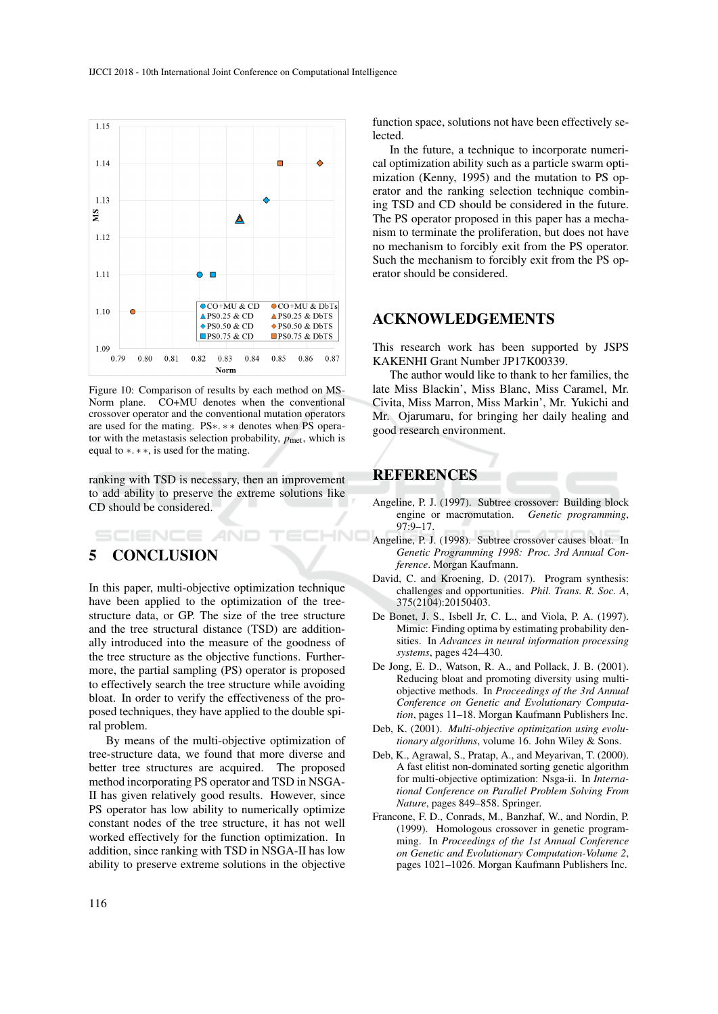

Figure 10: Comparison of results by each method on MS-Norm plane. CO+MU denotes when the conventional crossover operator and the conventional mutation operators are used for the mating. PS∗. ∗ ∗ denotes when PS operator with the metastasis selection probability,  $p_{\text{met}}$ , which is equal to ∗. ∗ ∗, is used for the mating.

ranking with TSD is necessary, then an improvement to add ability to preserve the extreme solutions like CD should be considered.

# **SCIENCE** 5 CONCLUSION

In this paper, multi-objective optimization technique have been applied to the optimization of the treestructure data, or GP. The size of the tree structure and the tree structural distance (TSD) are additionally introduced into the measure of the goodness of the tree structure as the objective functions. Furthermore, the partial sampling (PS) operator is proposed to effectively search the tree structure while avoiding bloat. In order to verify the effectiveness of the proposed techniques, they have applied to the double spiral problem.

By means of the multi-objective optimization of tree-structure data, we found that more diverse and better tree structures are acquired. The proposed method incorporating PS operator and TSD in NSGA-II has given relatively good results. However, since PS operator has low ability to numerically optimize constant nodes of the tree structure, it has not well worked effectively for the function optimization. In addition, since ranking with TSD in NSGA-II has low ability to preserve extreme solutions in the objective

function space, solutions not have been effectively selected.

In the future, a technique to incorporate numerical optimization ability such as a particle swarm optimization (Kenny, 1995) and the mutation to PS operator and the ranking selection technique combining TSD and CD should be considered in the future. The PS operator proposed in this paper has a mechanism to terminate the proliferation, but does not have no mechanism to forcibly exit from the PS operator. Such the mechanism to forcibly exit from the PS operator should be considered.

### ACKNOWLEDGEMENTS

This research work has been supported by JSPS KAKENHI Grant Number JP17K00339.

The author would like to thank to her families, the late Miss Blackin', Miss Blanc, Miss Caramel, Mr. Civita, Miss Marron, Miss Markin', Mr. Yukichi and Mr. Ojarumaru, for bringing her daily healing and good research environment.

### REFERENCES

HN

- Angeline, P. J. (1997). Subtree crossover: Building block engine or macromutation. *Genetic programming*, 97:9–17.
- Angeline, P. J. (1998). Subtree crossover causes bloat. In *Genetic Programming 1998: Proc. 3rd Annual Conference*. Morgan Kaufmann.
- David, C. and Kroening, D. (2017). Program synthesis: challenges and opportunities. *Phil. Trans. R. Soc. A*, 375(2104):20150403.
- De Bonet, J. S., Isbell Jr, C. L., and Viola, P. A. (1997). Mimic: Finding optima by estimating probability densities. In *Advances in neural information processing systems*, pages 424–430.
- De Jong, E. D., Watson, R. A., and Pollack, J. B. (2001). Reducing bloat and promoting diversity using multiobjective methods. In *Proceedings of the 3rd Annual Conference on Genetic and Evolutionary Computation*, pages 11–18. Morgan Kaufmann Publishers Inc.
- Deb, K. (2001). *Multi-objective optimization using evolutionary algorithms*, volume 16. John Wiley & Sons.
- Deb, K., Agrawal, S., Pratap, A., and Meyarivan, T. (2000). A fast elitist non-dominated sorting genetic algorithm for multi-objective optimization: Nsga-ii. In *International Conference on Parallel Problem Solving From Nature*, pages 849–858. Springer.
- Francone, F. D., Conrads, M., Banzhaf, W., and Nordin, P. (1999). Homologous crossover in genetic programming. In *Proceedings of the 1st Annual Conference on Genetic and Evolutionary Computation-Volume 2*, pages 1021–1026. Morgan Kaufmann Publishers Inc.